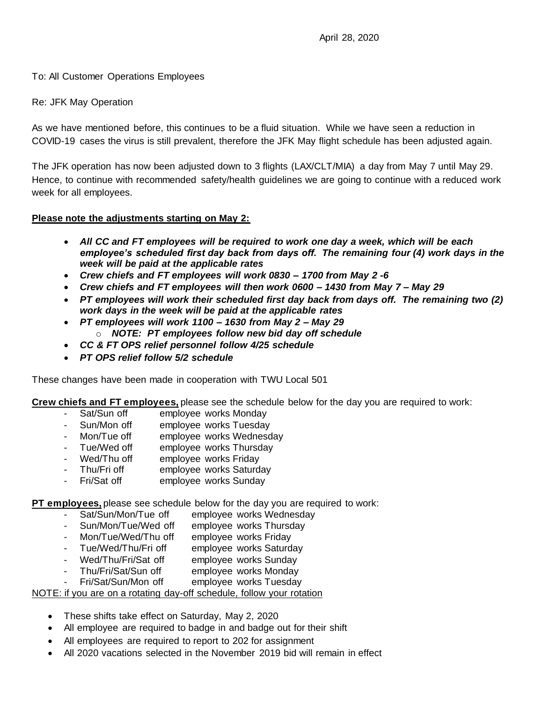To: All Customer Operations Employees

## Re: JFK May Operation

As we have mentioned before, this continues to be a fluid situation. While we have seen a reduction in COVID-19 cases the virus is still prevalent, therefore the JFK May flight schedule has been adjusted again.

The JFK operation has now been adjusted down to 3 flights (LAX/CLT/MIA) a day from May 7 until May 29. Hence, to continue with recommended safety/health guidelines we are going to continue with a reduced work week for all employees.

## **Please note the adjustments starting on May 2:**

- *All CC and FT employees will be required to work one day a week, which will be each employee's scheduled first day back from days off. The remaining four (4) work days in the week will be paid at the applicable rates*
- *Crew chiefs and FT employees will work 0830 – 1700 from May 2 -6*
- *Crew chiefs and FT employees will then work 0600 – 1430 from May 7 – May 29*
- *PT employees will work their scheduled first day back from days off. The remaining two (2) work days in the week will be paid at the applicable rates*
- *PT employees will work 1100 – 1630 from May 2 – May 29* o *NOTE: PT employees follow new bid day off schedule*
- *CC & FT OPS relief personnel follow 4/25 schedule*
- *PT OPS relief follow 5/2 schedule*

These changes have been made in cooperation with TWU Local 501

**Crew chiefs and FT employees,** please see the schedule below for the day you are required to work:

- Sat/Sun off employee works Monday
- Sun/Mon off employee works Tuesday
- Mon/Tue off employee works Wednesday
- Tue/Wed off employee works Thursday
- Wed/Thu off employee works Friday
- Thu/Fri off employee works Saturday
- Fri/Sat off employee works Sunday

**PT employees,** please see schedule below for the day you are required to work:

- Sat/Sun/Mon/Tue off employee works Wednesday
- Sun/Mon/Tue/Wed off employee works Thursday
- Mon/Tue/Wed/Thu off employee works Friday
- Tue/Wed/Thu/Fri off employee works Saturday
- Wed/Thu/Fri/Sat off employee works Sunday
- Thu/Fri/Sat/Sun off employee works Monday
- Fri/Sat/Sun/Mon off employee works Tuesday

NOTE: if you are on a rotating day-off schedule, follow your rotation

- These shifts take effect on Saturday, May 2, 2020
- All employee are required to badge in and badge out for their shift
- All employees are required to report to 202 for assignment
- All 2020 vacations selected in the November 2019 bid will remain in effect